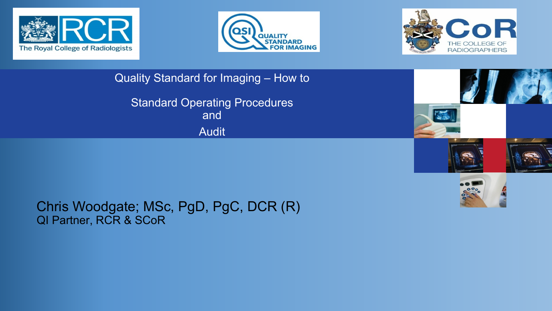





Quality Standard for Imaging – How to

Standard Operating Procedures and<sup>1</sup> Audit







#### Chris Woodgate; MSc, PgD, PgC, DCR (R) QI Partner, RCR & SCoR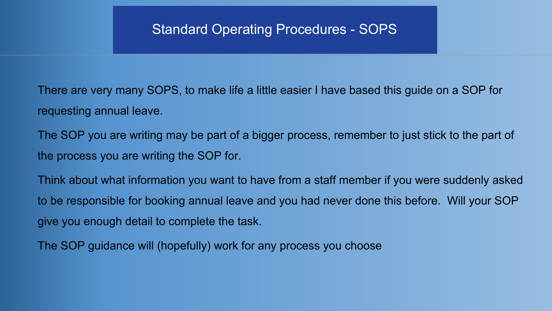There are very many SOPS, to make life a little easier I have based this guide on a SOP for requesting annual leave.

The SOP you are writing may be part of a bigger process, remember to just stick to the part of the process you are writing the SOP for.

Think about what information you want to have from a staff member if you were suddenly asked to be responsible for booking annual leave and you had never done this before. Will your SOP give you enough detail to complete the task.

The SOP guidance will (hopefully) work for any process you choose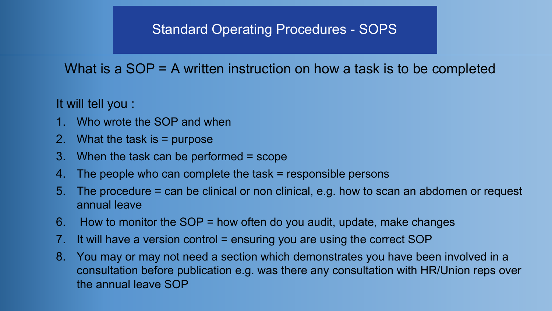#### What is a SOP = A written instruction on how a task is to be completed

It will tell you :

- 1. Who wrote the SOP and when
- 2. What the task is = purpose
- 3. When the task can be performed = scope
- 4. The people who can complete the task = responsible persons
- 5. The procedure = can be clinical or non clinical, e.g. how to scan an abdomen or request annual leave
- 6. How to monitor the SOP = how often do you audit, update, make changes
- 7. It will have a version control = ensuring you are using the correct SOP
- 8. You may or may not need a section which demonstrates you have been involved in a consultation before publication e.g. was there any consultation with HR/Union reps over the annual leave SOP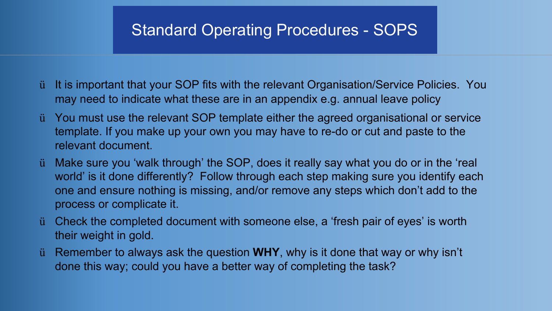- ü It is important that your SOP fits with the relevant Organisation/Service Policies. You may need to indicate what these are in an appendix e.g. annual leave policy
- ü You must use the relevant SOP template either the agreed organisational or service template. If you make up your own you may have to re-do or cut and paste to the relevant document.
- ü Make sure you 'walk through' the SOP, does it really say what you do or in the 'real world' is it done differently? Follow through each step making sure you identify each one and ensure nothing is missing, and/or remove any steps which don't add to the process or complicate it.
- ü Check the completed document with someone else, a 'fresh pair of eyes' is worth their weight in gold.
- ü Remember to always ask the question **WHY**, why is it done that way or why isn't done this way; could you have a better way of completing the task?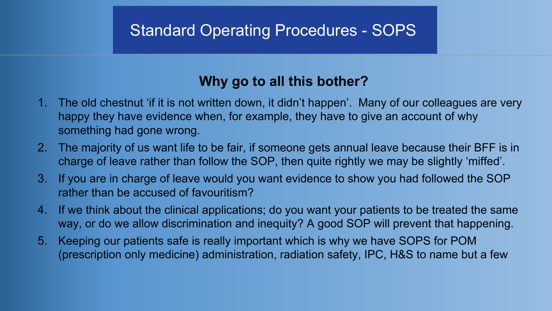### **Why go to all this bother?**

- 1. The old chestnut 'if it is not written down, it didn't happen'. Many of our colleagues are very happy they have evidence when, for example, they have to give an account of why something had gone wrong.
- 2. The majority of us want life to be fair, if someone gets annual leave because their BFF is in charge of leave rather than follow the SOP, then quite rightly we may be slightly 'miffed'.
- 3. If you are in charge of leave would you want evidence to show you had followed the SOP rather than be accused of favouritism?
- 4. If we think about the clinical applications; do you want your patients to be treated the same way, or do we allow discrimination and inequity? A good SOP will prevent that happening.
- 5. Keeping our patients safe is really important which is why we have SOPS for POM (prescription only medicine) administration, radiation safety, IPC, H&S to name but a few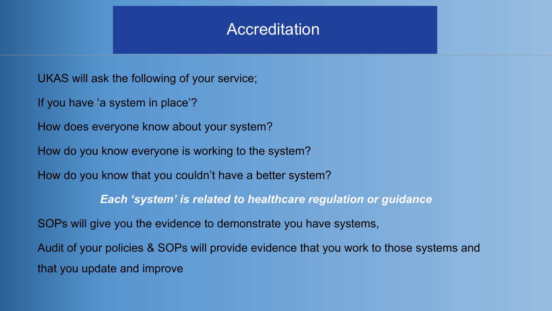### **Accreditation**

UKAS will ask the following of your service;

If you have 'a system in place'?

How does everyone know about your system?

How do you know everyone is working to the system?

How do you know that you couldn't have a better system?

*Each 'system' is related to healthcare regulation or guidance*

SOPs will give you the evidence to demonstrate you have systems,

Audit of your policies & SOPs will provide evidence that you work to those systems and that you update and improve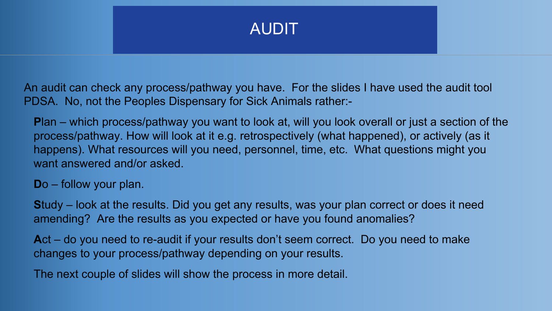

An audit can check any process/pathway you have. For the slides I have used the audit tool PDSA. No, not the Peoples Dispensary for Sick Animals rather:-

**P**lan – which process/pathway you want to look at, will you look overall or just a section of the process/pathway. How will look at it e.g. retrospectively (what happened), or actively (as it happens). What resources will you need, personnel, time, etc. What questions might you want answered and/or asked.

**D**o – follow your plan.

**S**tudy – look at the results. Did you get any results, was your plan correct or does it need amending? Are the results as you expected or have you found anomalies?

**A**ct – do you need to re-audit if your results don't seem correct. Do you need to make changes to your process/pathway depending on your results.

The next couple of slides will show the process in more detail.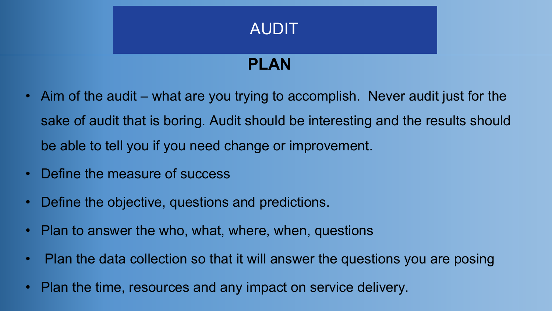## AUDIT

# **PLAN**

- Aim of the audit what are you trying to accomplish. Never audit just for the sake of audit that is boring. Audit should be interesting and the results should be able to tell you if you need change or improvement.
- Define the measure of success
- Define the objective, questions and predictions.
- Plan to answer the who, what, where, when, questions
- Plan the data collection so that it will answer the questions you are posing
- Plan the time, resources and any impact on service delivery.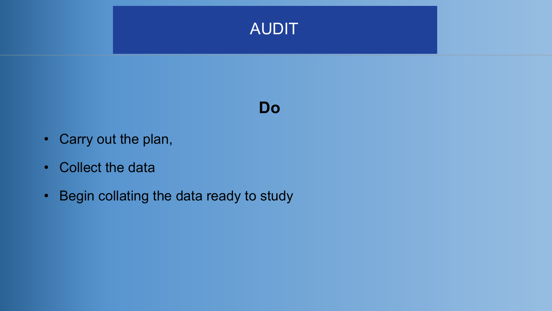

### **Do**

- Carry out the plan,
- Collect the data
- Begin collating the data ready to study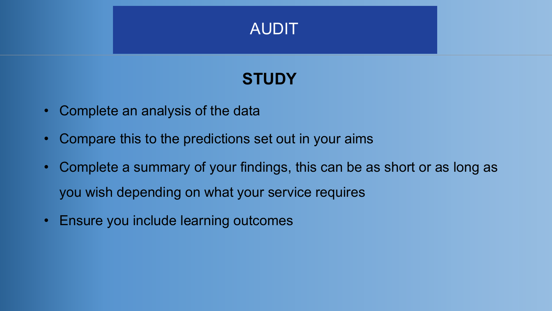

## **STUDY**

- Complete an analysis of the data
- Compare this to the predictions set out in your aims
- Complete a summary of your findings, this can be as short or as long as you wish depending on what your service requires
- Ensure you include learning outcomes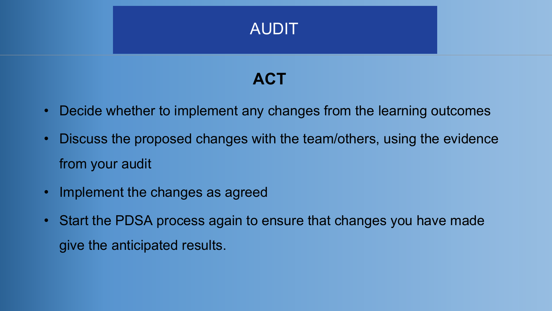

## **ACT**

- Decide whether to implement any changes from the learning outcomes
- Discuss the proposed changes with the team/others, using the evidence from your audit
- Implement the changes as agreed
- Start the PDSA process again to ensure that changes you have made give the anticipated results.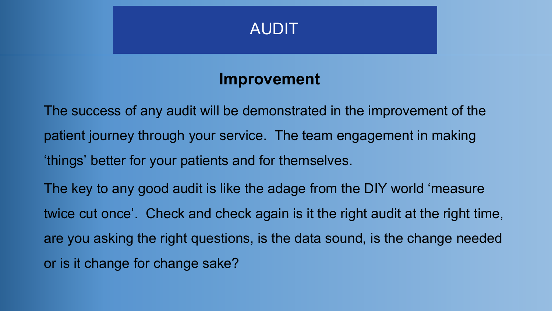

### **Improvement**

The success of any audit will be demonstrated in the improvement of the patient journey through your service. The team engagement in making 'things' better for your patients and for themselves.

The key to any good audit is like the adage from the DIY world 'measure twice cut once'. Check and check again is it the right audit at the right time, are you asking the right questions, is the data sound, is the change needed or is it change for change sake?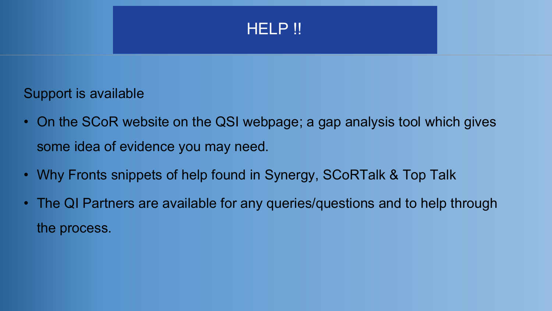

#### Support is available

- On the SCoR website on the QSI webpage; a gap analysis tool which gives some idea of evidence you may need.
- Why Fronts snippets of help found in Synergy, SCoRTalk & Top Talk
- The QI Partners are available for any queries/questions and to help through the process.